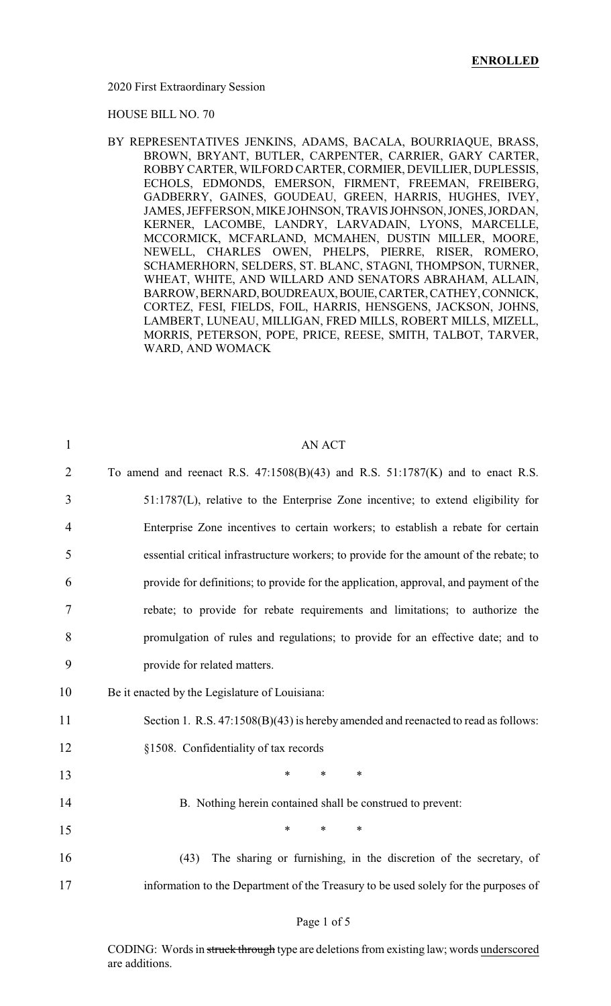2020 First Extraordinary Session

HOUSE BILL NO. 70

BY REPRESENTATIVES JENKINS, ADAMS, BACALA, BOURRIAQUE, BRASS, BROWN, BRYANT, BUTLER, CARPENTER, CARRIER, GARY CARTER, ROBBY CARTER, WILFORD CARTER, CORMIER, DEVILLIER, DUPLESSIS, ECHOLS, EDMONDS, EMERSON, FIRMENT, FREEMAN, FREIBERG, GADBERRY, GAINES, GOUDEAU, GREEN, HARRIS, HUGHES, IVEY, JAMES, JEFFERSON, MIKEJOHNSON,TRAVIS JOHNSON,JONES,JORDAN, KERNER, LACOMBE, LANDRY, LARVADAIN, LYONS, MARCELLE, MCCORMICK, MCFARLAND, MCMAHEN, DUSTIN MILLER, MOORE, NEWELL, CHARLES OWEN, PHELPS, PIERRE, RISER, ROMERO, SCHAMERHORN, SELDERS, ST. BLANC, STAGNI, THOMPSON, TURNER, WHEAT, WHITE, AND WILLARD AND SENATORS ABRAHAM, ALLAIN, BARROW,BERNARD,BOUDREAUX,BOUIE,CARTER,CATHEY,CONNICK, CORTEZ, FESI, FIELDS, FOIL, HARRIS, HENSGENS, JACKSON, JOHNS, LAMBERT, LUNEAU, MILLIGAN, FRED MILLS, ROBERT MILLS, MIZELL, MORRIS, PETERSON, POPE, PRICE, REESE, SMITH, TALBOT, TARVER, WARD, AND WOMACK

| To amend and reenact R.S. $47:1508(B)(43)$ and R.S. $51:1787(K)$ and to enact R.S.     |
|----------------------------------------------------------------------------------------|
| 51:1787(L), relative to the Enterprise Zone incentive; to extend eligibility for       |
| Enterprise Zone incentives to certain workers; to establish a rebate for certain       |
| essential critical infrastructure workers; to provide for the amount of the rebate; to |
| provide for definitions; to provide for the application, approval, and payment of the  |
| rebate; to provide for rebate requirements and limitations; to authorize the           |
| promulgation of rules and regulations; to provide for an effective date; and to        |
|                                                                                        |
|                                                                                        |
| Section 1. R.S. 47:1508(B)(43) is hereby amended and reenacted to read as follows:     |
|                                                                                        |
| $\ast$                                                                                 |
| B. Nothing herein contained shall be construed to prevent:                             |
| $\ast$                                                                                 |
| The sharing or furnishing, in the discretion of the secretary, of                      |
| information to the Department of the Treasury to be used solely for the purposes of    |
|                                                                                        |

#### Page 1 of 5

CODING: Words in struck through type are deletions from existing law; words underscored are additions.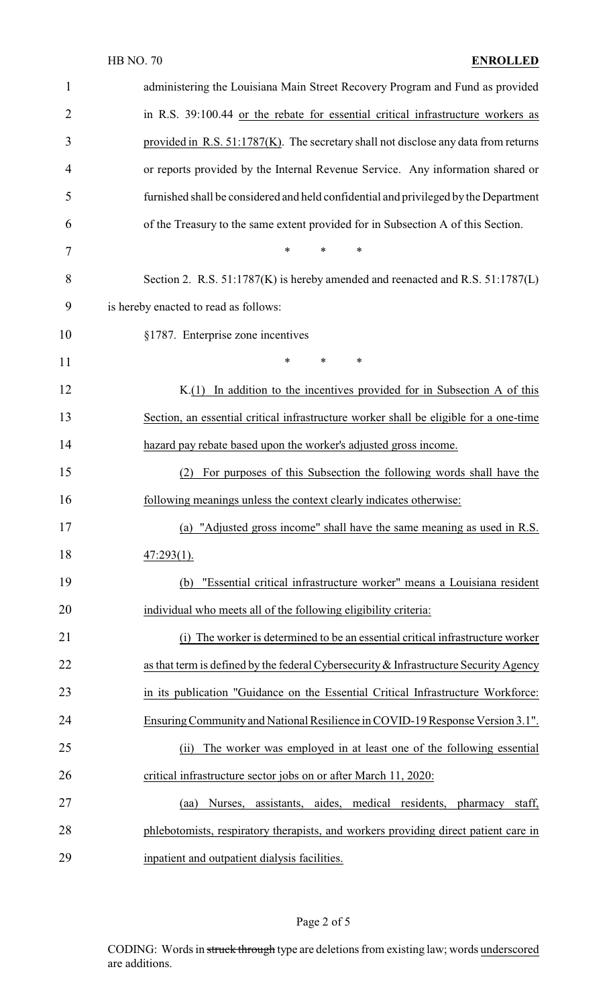| $\mathbf{1}$   | administering the Louisiana Main Street Recovery Program and Fund as provided         |
|----------------|---------------------------------------------------------------------------------------|
| $\overline{2}$ | in R.S. 39:100.44 or the rebate for essential critical infrastructure workers as      |
| 3              | provided in R.S. 51:1787(K). The secretary shall not disclose any data from returns   |
| $\overline{4}$ | or reports provided by the Internal Revenue Service. Any information shared or        |
| 5              | furnished shall be considered and held confidential and privileged by the Department  |
| 6              | of the Treasury to the same extent provided for in Subsection A of this Section.      |
| 7              | $\ast$<br>*<br>∗                                                                      |
| 8              | Section 2. R.S. 51:1787(K) is hereby amended and reenacted and R.S. 51:1787(L)        |
| 9              | is hereby enacted to read as follows:                                                 |
| 10             | §1787. Enterprise zone incentives                                                     |
| 11             | *<br>$\ast$<br>∗                                                                      |
| 12             | In addition to the incentives provided for in Subsection A of this<br>K(1)            |
| 13             | Section, an essential critical infrastructure worker shall be eligible for a one-time |
| 14             | hazard pay rebate based upon the worker's adjusted gross income.                      |
| 15             | For purposes of this Subsection the following words shall have the<br>(2)             |
| 16             | following meanings unless the context clearly indicates otherwise:                    |
| 17             | (a) "Adjusted gross income" shall have the same meaning as used in R.S.               |
| 18             | $47:293(1)$ .                                                                         |
| 19             | "Essential critical infrastructure worker" means a Louisiana resident<br>(b)          |
| 20             | individual who meets all of the following eligibility criteria:                       |
| 21             | (i) The worker is determined to be an essential critical infrastructure worker        |
| 22             | as that term is defined by the federal Cybersecurity & Infrastructure Security Agency |
| 23             | in its publication "Guidance on the Essential Critical Infrastructure Workforce:      |
| 24             | Ensuring Community and National Resilience in COVID-19 Response Version 3.1".         |
| 25             | The worker was employed in at least one of the following essential<br>(ii)            |
| 26             | critical infrastructure sector jobs on or after March 11, 2020:                       |
| 27             | aides, medical residents,<br>Nurses,<br>assistants,<br>pharmacy<br>staff,<br>(aa)     |
| 28             | phlebotomists, respiratory therapists, and workers providing direct patient care in   |
| 29             | inpatient and outpatient dialysis facilities.                                         |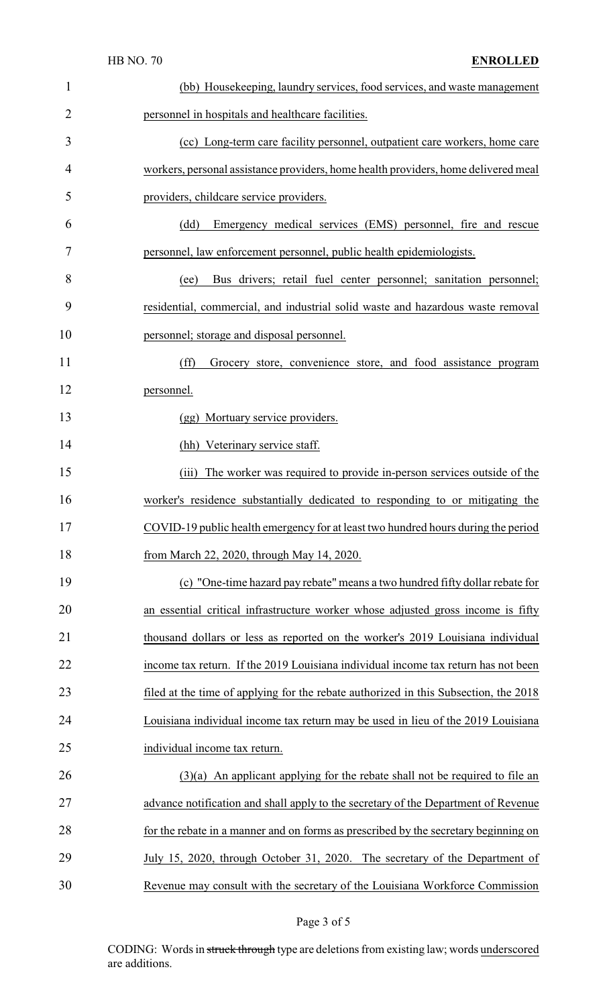|                | <b>HB NO. 70</b><br><b>ENROLLED</b>                                                  |
|----------------|--------------------------------------------------------------------------------------|
| $\mathbf{1}$   | (bb) Housekeeping, laundry services, food services, and waste management             |
| $\overline{2}$ | personnel in hospitals and healthcare facilities.                                    |
| 3              | (cc) Long-term care facility personnel, outpatient care workers, home care           |
| 4              | workers, personal assistance providers, home health providers, home delivered meal   |
| 5              | providers, childcare service providers.                                              |
| 6              | Emergency medical services (EMS) personnel, fire and rescue<br>(dd)                  |
| 7              | personnel, law enforcement personnel, public health epidemiologists.                 |
| 8              | Bus drivers; retail fuel center personnel; sanitation personnel;<br>(ee)             |
| 9              | residential, commercial, and industrial solid waste and hazardous waste removal      |
| 10             | personnel; storage and disposal personnel.                                           |
| 11             | (ff)<br>Grocery store, convenience store, and food assistance program                |
| 12             | personnel.                                                                           |
| 13             | (gg) Mortuary service providers.                                                     |
| 14             | (hh) Veterinary service staff.                                                       |
| 15             | (iii) The worker was required to provide in-person services outside of the           |
| 16             | worker's residence substantially dedicated to responding to or mitigating the        |
| 17             | COVID-19 public health emergency for at least two hundred hours during the period    |
| 18             | from March 22, 2020, through May 14, 2020.                                           |
| 19             | (c) "One-time hazard pay rebate" means a two hundred fifty dollar rebate for         |
| 20             | an essential critical infrastructure worker whose adjusted gross income is fifty     |
| 21             | thousand dollars or less as reported on the worker's 2019 Louisiana individual       |
| 22             | income tax return. If the 2019 Louisiana individual income tax return has not been   |
| 23             | filed at the time of applying for the rebate authorized in this Subsection, the 2018 |
| 24             | Louisiana individual income tax return may be used in lieu of the 2019 Louisiana     |
| 25             | individual income tax return.                                                        |
| 26             | $(3)(a)$ An applicant applying for the rebate shall not be required to file an       |
| 27             | advance notification and shall apply to the secretary of the Department of Revenue   |
| 28             | for the rebate in a manner and on forms as prescribed by the secretary beginning on  |
| 29             | July 15, 2020, through October 31, 2020. The secretary of the Department of          |

Revenue may consult with the secretary of the Louisiana Workforce Commission

# Page 3 of 5

CODING: Words in struck through type are deletions from existing law; words underscored are additions.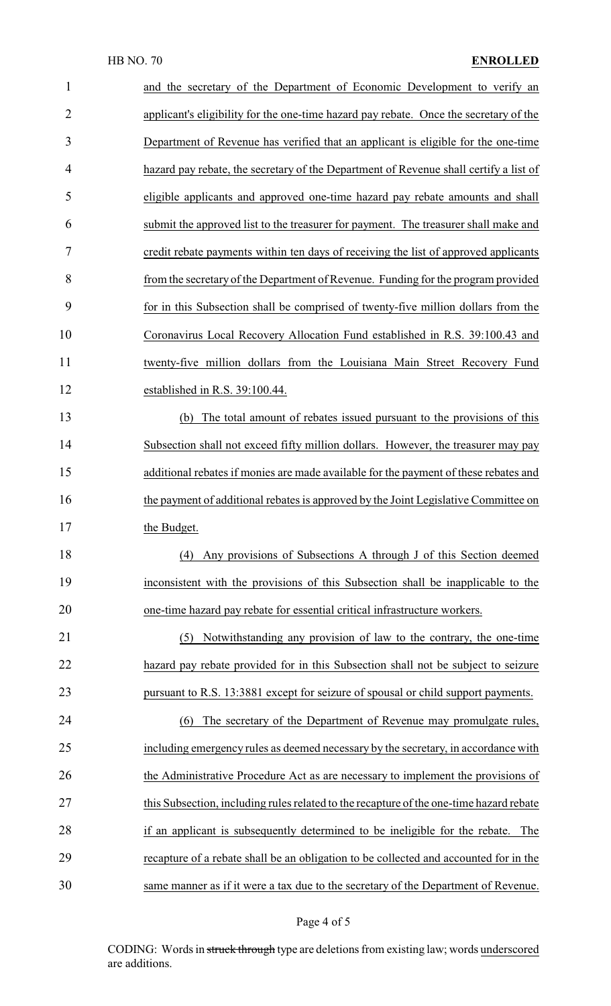| 1              | and the secretary of the Department of Economic Development to verify an                |
|----------------|-----------------------------------------------------------------------------------------|
| $\overline{2}$ | applicant's eligibility for the one-time hazard pay rebate. Once the secretary of the   |
| 3              | Department of Revenue has verified that an applicant is eligible for the one-time       |
| 4              | hazard pay rebate, the secretary of the Department of Revenue shall certify a list of   |
| 5              | eligible applicants and approved one-time hazard pay rebate amounts and shall           |
| 6              | submit the approved list to the treasurer for payment. The treasurer shall make and     |
| 7              | credit rebate payments within ten days of receiving the list of approved applicants     |
| 8              | from the secretary of the Department of Revenue. Funding for the program provided       |
| 9              | for in this Subsection shall be comprised of twenty-five million dollars from the       |
| 10             | Coronavirus Local Recovery Allocation Fund established in R.S. 39:100.43 and            |
| 11             | twenty-five million dollars from the Louisiana Main Street Recovery Fund                |
| 12             | established in R.S. 39:100.44.                                                          |
| 13             | (b) The total amount of rebates issued pursuant to the provisions of this               |
| 14             | Subsection shall not exceed fifty million dollars. However, the treasurer may pay       |
| 15             | additional rebates if monies are made available for the payment of these rebates and    |
| 16             | the payment of additional rebates is approved by the Joint Legislative Committee on     |
| 17             | the Budget.                                                                             |
| 18             | Any provisions of Subsections A through J of this Section deemed<br>(4)                 |
| 19             | inconsistent with the provisions of this Subsection shall be inapplicable to the        |
| 20             | one-time hazard pay rebate for essential critical infrastructure workers.               |
| 21             | Notwithstanding any provision of law to the contrary, the one-time<br>(5)               |
| 22             | hazard pay rebate provided for in this Subsection shall not be subject to seizure       |
| 23             | pursuant to R.S. 13:3881 except for seizure of spousal or child support payments.       |
| 24             | The secretary of the Department of Revenue may promulgate rules,<br>(6)                 |
| 25             | including emergency rules as deemed necessary by the secretary, in accordance with      |
| 26             | the Administrative Procedure Act as are necessary to implement the provisions of        |
| 27             | this Subsection, including rules related to the recapture of the one-time hazard rebate |
| 28             | if an applicant is subsequently determined to be ineligible for the rebate.<br>The      |
| 29             | recapture of a rebate shall be an obligation to be collected and accounted for in the   |
| 30             | same manner as if it were a tax due to the secretary of the Department of Revenue.      |

# Page 4 of 5

CODING: Words in struck through type are deletions from existing law; words underscored are additions.